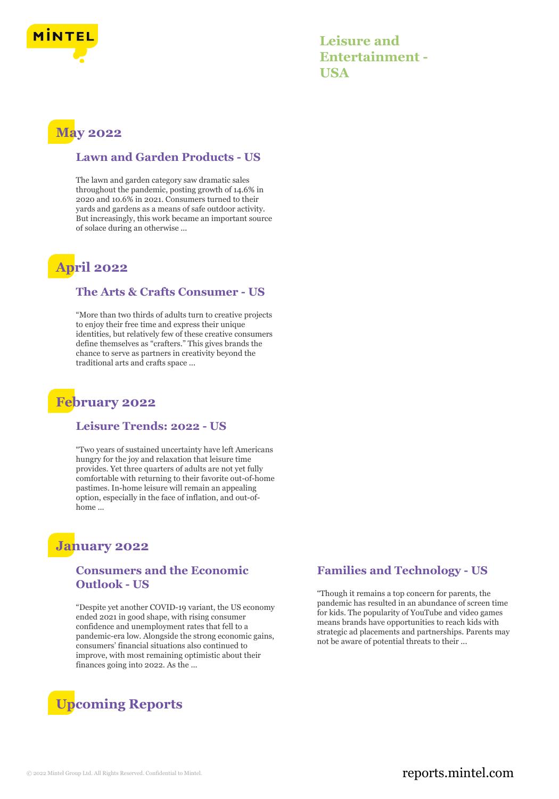

**Leisure and Entertainment - USA**

# **May 2022**

### **Lawn and Garden Products - US**

The lawn and garden category saw dramatic sales throughout the pandemic, posting growth of 14.6% in 2020 and 10.6% in 2021. Consumers turned to their yards and gardens as a means of safe outdoor activity. But increasingly, this work became an important source of solace during an otherwise ...

# **April 2022**

#### **The Arts & Crafts Consumer - US**

"More than two thirds of adults turn to creative projects to enjoy their free time and express their unique identities, but relatively few of these creative consumers define themselves as "crafters." This gives brands the chance to serve as partners in creativity beyond the traditional arts and crafts space ...

# **February 2022**

#### **Leisure Trends: 2022 - US**

"Two years of sustained uncertainty have left Americans hungry for the joy and relaxation that leisure time provides. Yet three quarters of adults are not yet fully comfortable with returning to their favorite out-of-home pastimes. In-home leisure will remain an appealing option, especially in the face of inflation, and out-ofhome ...

# **January 2022**

## **Consumers and the Economic Outlook - US**

"Despite yet another COVID-19 variant, the US economy ended 2021 in good shape, with rising consumer confidence and unemployment rates that fell to a pandemic-era low. Alongside the strong economic gains, consumers' financial situations also continued to improve, with most remaining optimistic about their finances going into 2022. As the ...



### **Families and Technology - US**

"Though it remains a top concern for parents, the pandemic has resulted in an abundance of screen time for kids. The popularity of YouTube and video games means brands have opportunities to reach kids with strategic ad placements and partnerships. Parents may not be aware of potential threats to their ...